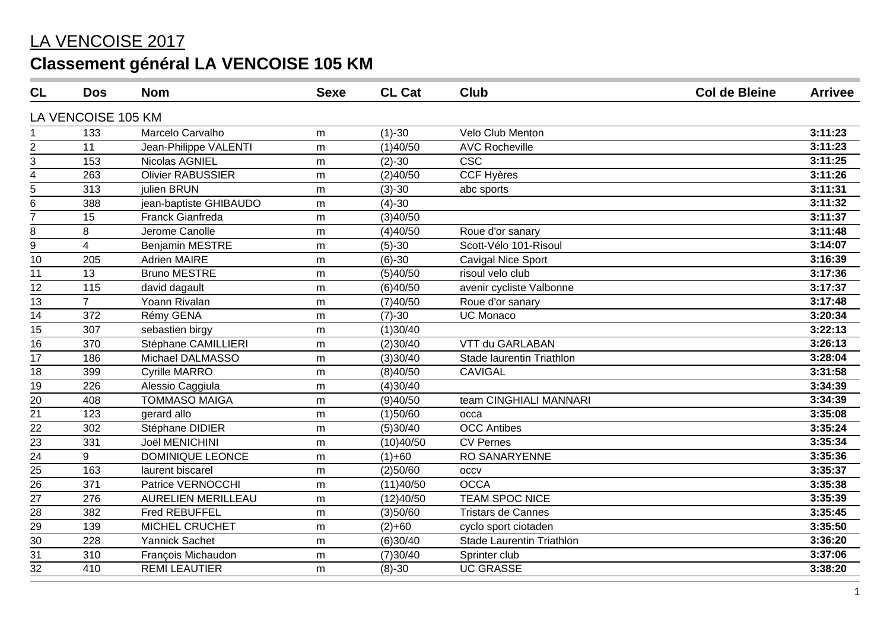| CL                      | <b>Dos</b>         | <b>Nom</b>                | <b>Sexe</b> | <b>CL Cat</b> | <b>Club</b>                      | <b>Col de Bleine</b> | <b>Arrivee</b> |
|-------------------------|--------------------|---------------------------|-------------|---------------|----------------------------------|----------------------|----------------|
|                         | LA VENCOISE 105 KM |                           |             |               |                                  |                      |                |
|                         | 133                | Marcelo Carvalho          | m           | $(1)-30$      | Velo Club Menton                 |                      | 3:11:23        |
| $\overline{2}$          | 11                 | Jean-Philippe VALENTI     | m           | (1)40/50      | <b>AVC Rocheville</b>            |                      | 3:11:23        |
| 3                       | 153                | Nicolas AGNIEL            | m           | $(2)-30$      | $\overline{\csc}$                |                      | 3:11:25        |
| $\overline{\mathbf{4}}$ | 263                | <b>Olivier RABUSSIER</b>  | m           | (2)40/50      | <b>CCF Hyères</b>                |                      | 3:11:26        |
| 5                       | 313                | julien BRUN               | m           | $(3)-30$      | abc sports                       |                      | 3:11:31        |
| 6                       | 388                | jean-baptiste GHIBAUDO    | m           | $(4)-30$      |                                  |                      | 3:11:32        |
| $\overline{7}$          | 15                 | Franck Gianfreda          | m           | (3)40/50      |                                  |                      | 3:11:37        |
| 8                       | 8                  | Jerome Canolle            | m           | (4)40/50      | Roue d'or sanary                 |                      | 3:11:48        |
| 9                       | 4                  | <b>Benjamin MESTRE</b>    | m           | $(5)-30$      | Scott-Vélo 101-Risoul            |                      | 3:14:07        |
| 10                      | 205                | <b>Adrien MAIRE</b>       | m           | $(6)-30$      | Cavigal Nice Sport               |                      | 3:16:39        |
| 11                      | 13                 | <b>Bruno MESTRE</b>       | m           | (5)40/50      | risoul velo club                 |                      | 3:17:36        |
| 12                      | 115                | david dagault             | m           | (6)40/50      | avenir cycliste Valbonne         |                      | 3:17:37        |
| 13                      | $\overline{7}$     | Yoann Rivalan             | m           | (7)40/50      | Roue d'or sanary                 |                      | 3:17:48        |
| 14                      | 372                | Rémy GENA                 | m           | $(7)-30$      | <b>UC Monaco</b>                 |                      | 3:20:34        |
| 15                      | 307                | sebastien birgy           | m           | (1)30/40      |                                  |                      | 3:22:13        |
| 16                      | 370                | Stéphane CAMILLIERI       | m           | (2)30/40      | VTT du GARLABAN                  |                      | 3:26:13        |
| 17                      | 186                | Michael DALMASSO          | m           | (3)30/40      | Stade laurentin Triathlon        |                      | 3:28:04        |
| 18                      | 399                | <b>Cyrille MARRO</b>      | m           | (8)40/50      | CAVIGAL                          |                      | 3:31:58        |
| 19                      | 226                | Alessio Caggiula          | m           | (4)30/40      |                                  |                      | 3:34:39        |
| 20                      | 408                | <b>TOMMASO MAIGA</b>      | m           | (9)40/50      | team CINGHIALI MANNARI           |                      | 3:34:39        |
| $\overline{21}$         | 123                | gerard allo               | m           | (1)50/60      | occa                             |                      | 3:35:08        |
| 22                      | 302                | Stéphane DIDIER           | m           | (5)30/40      | <b>OCC</b> Antibes               |                      | 3:35:24        |
| $\overline{23}$         | 331                | Joël MENICHINI            | m           | (10)40/50     | <b>CV Pernes</b>                 |                      | 3:35:34        |
| 24                      | 9                  | DOMINIQUE LEONCE          | m           | $(1)+60$      | <b>RO SANARYENNE</b>             |                      | 3:35:36        |
| 25                      | 163                | laurent biscarel          | m           | (2)50/60      | <b>OCCV</b>                      |                      | 3:35:37        |
| 26                      | 371                | Patrice VERNOCCHI         | m           | (11)40/50     | <b>OCCA</b>                      |                      | 3:35:38        |
| $\overline{27}$         | 276                | <b>AURELIEN MERILLEAU</b> | m           | (12)40/50     | <b>TEAM SPOC NICE</b>            |                      | 3:35:39        |
| 28                      | 382                | Fred REBUFFEL             | ${\sf m}$   | (3)50/60      | <b>Tristars de Cannes</b>        |                      | 3:35:45        |
| $\overline{29}$         | 139                | <b>MICHEL CRUCHET</b>     | m           | $(2)+60$      | cyclo sport ciotaden             |                      | 3:35:50        |
| $\overline{30}$         | 228                | <b>Yannick Sachet</b>     | m           | (6)30/40      | <b>Stade Laurentin Triathlon</b> |                      | 3:36:20        |
| $\overline{31}$         | 310                | François Michaudon        | m           | (7)30/40      | Sprinter club                    |                      | 3:37:06        |
| 32                      | 410                | <b>REMI LEAUTIER</b>      | m           | $(8)-30$      | <b>UC GRASSE</b>                 |                      | 3:38:20        |
|                         |                    |                           |             |               |                                  |                      |                |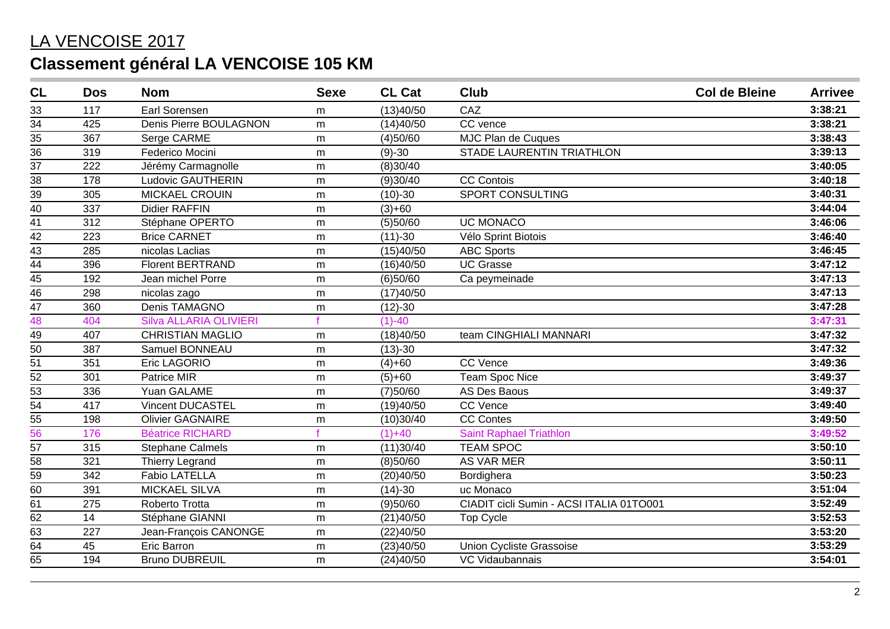| <b>CL</b>       | <b>Dos</b> | <b>Nom</b>                    | <b>Sexe</b> | <b>CL Cat</b> | <b>Club</b>                              | <b>Col de Bleine</b> | <b>Arrivee</b> |
|-----------------|------------|-------------------------------|-------------|---------------|------------------------------------------|----------------------|----------------|
| 33              | 117        | Earl Sorensen                 | m           | (13)40/50     | CAZ                                      |                      | 3:38:21        |
| 34              | 425        | Denis Pierre BOULAGNON        | m           | (14)40/50     | CC vence                                 |                      | 3:38:21        |
| 35              | 367        | Serge CARME                   | m           | (4)50/60      | MJC Plan de Cuques                       |                      | 3:38:43        |
| $\overline{36}$ | 319        | Federico Mocini               | ${\sf m}$   | $(9)-30$      | <b>STADE LAURENTIN TRIATHLON</b>         |                      | 3:39:13        |
| $\overline{37}$ | 222        | Jérémy Carmagnolle            | m           | (8)30/40      |                                          |                      | 3:40:05        |
| $\overline{38}$ | 178        | Ludovic GAUTHERIN             | m           | (9)30/40      | <b>CC Contois</b>                        |                      | 3:40:18        |
| 39              | 305        | <b>MICKAEL CROUIN</b>         | m           | $(10)-30$     | SPORT CONSULTING                         |                      | 3:40:31        |
| 40              | 337        | <b>Didier RAFFIN</b>          | m           | $(3)+60$      |                                          |                      | 3:44:04        |
| 41              | 312        | Stéphane OPERTO               | m           | (5)50/60      | <b>UC MONACO</b>                         |                      | 3:46:06        |
| $\overline{42}$ | 223        | <b>Brice CARNET</b>           | m           | $(11)-30$     | Vélo Sprint Biotois                      |                      | 3:46:40        |
| $\overline{43}$ | 285        | nicolas Laclias               | m           | (15)40/50     | <b>ABC Sports</b>                        |                      | 3:46:45        |
| $\overline{44}$ | 396        | <b>Florent BERTRAND</b>       | m           | (16)40/50     | <b>UC Grasse</b>                         |                      | 3:47:12        |
| $\overline{45}$ | 192        | Jean michel Porre             | m           | (6)50/60      | Ca peymeinade                            |                      | 3:47:13        |
| $\overline{46}$ | 298        | nicolas zago                  | m           | (17)40/50     |                                          |                      | 3:47:13        |
| $\overline{47}$ | 360        | Denis TAMAGNO                 | m           | $(12)-30$     |                                          |                      | 3:47:28        |
| 48              | 404        | <b>Silva ALLARIA OLIVIERI</b> |             | $(1)-40$      |                                          |                      | 3:47:31        |
| 49              | 407        | <b>CHRISTIAN MAGLIO</b>       | m           | (18)40/50     | team CINGHIALI MANNARI                   |                      | 3:47:32        |
| $\overline{50}$ | 387        | Samuel BONNEAU                | m           | $(13)-30$     |                                          |                      | 3:47:32        |
| $\overline{51}$ | 351        | Eric LAGORIO                  | m           | $(4)+60$      | <b>CC Vence</b>                          |                      | 3:49:36        |
| $\frac{52}{53}$ | 301        | Patrice MIR                   | m           | $(5)+60$      | <b>Team Spoc Nice</b>                    |                      | 3:49:37        |
|                 | 336        | Yuan GALAME                   | m           | (7)50/60      | <b>AS Des Baous</b>                      |                      | 3:49:37        |
| $\frac{54}{55}$ | 417        | <b>Vincent DUCASTEL</b>       | m           | (19)40/50     | <b>CC Vence</b>                          |                      | 3:49:40        |
|                 | 198        | <b>Olivier GAGNAIRE</b>       | m           | (10)30/40     | <b>CC Contes</b>                         |                      | 3:49:50        |
| 56              | 176        | <b>Béatrice RICHARD</b>       |             | $(1)+40$      | <b>Saint Raphael Triathlon</b>           |                      | 3:49:52        |
| 57              | 315        | <b>Stephane Calmels</b>       | m           | (11)30/40     | <b>TEAM SPOC</b>                         |                      | 3:50:10        |
| $\overline{58}$ | 321        | <b>Thierry Legrand</b>        | m           | (8)50/60      | AS VAR MER                               |                      | 3:50:11        |
| $\overline{59}$ | 342        | <b>Fabio LATELLA</b>          | m           | (20)40/50     | Bordighera                               |                      | 3:50:23        |
| $\overline{60}$ | 391        | <b>MICKAEL SILVA</b>          | m           | $(14)-30$     | uc Monaco                                |                      | 3:51:04        |
| 61              | 275        | Roberto Trotta                | m           | (9)50/60      | CIADIT cicli Sumin - ACSI ITALIA 01TO001 |                      | 3:52:49        |
| 62              | 14         | Stéphane GIANNI               | m           | (21)40/50     | <b>Top Cycle</b>                         |                      | 3:52:53        |
| 63              | 227        | Jean-François CANONGE         | ${\sf m}$   | (22)40/50     |                                          |                      | 3:53:20        |
| 64              | 45         | Eric Barron                   | m           | (23)40/50     | Union Cycliste Grassoise                 |                      | 3:53:29        |
| 65              | 194        | <b>Bruno DUBREUIL</b>         | m           | (24)40/50     | VC Vidaubannais                          |                      | 3:54:01        |
|                 |            |                               |             |               |                                          |                      |                |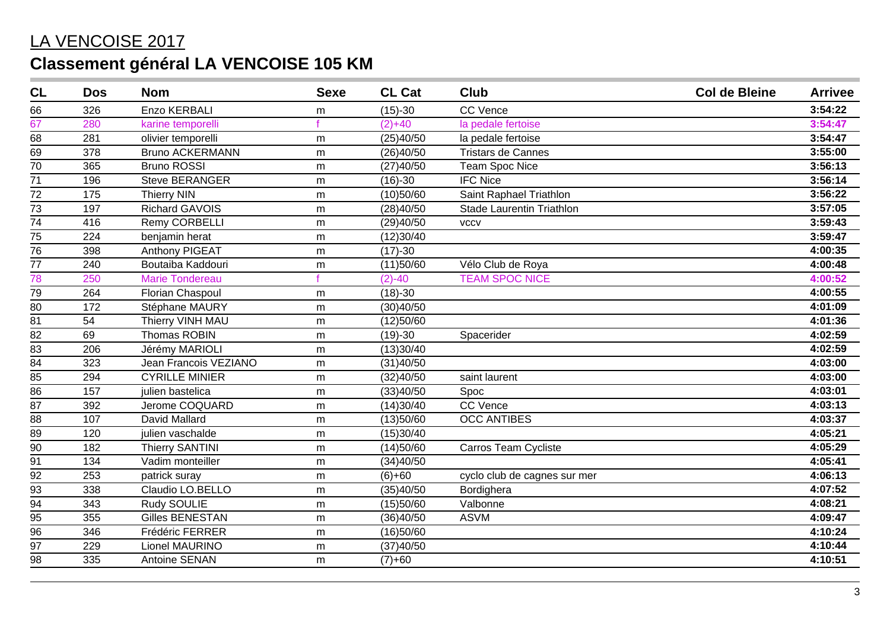| CL              | <b>Dos</b> | <b>Nom</b>             | <b>Sexe</b> | <b>CL Cat</b> | <b>Club</b>                      | <b>Col de Bleine</b> | <b>Arrivee</b> |
|-----------------|------------|------------------------|-------------|---------------|----------------------------------|----------------------|----------------|
| 66              | 326        | <b>Enzo KERBALI</b>    | m           | $(15)-30$     | <b>CC Vence</b>                  |                      | 3:54:22        |
| 67              | 280        | karine temporelli      |             | $(2)+40$      | la pedale fertoise               |                      | 3:54:47        |
| 68              | 281        | olivier temporelli     | m           | (25)40/50     | la pedale fertoise               |                      | 3:54:47        |
| 69              | 378        | <b>Bruno ACKERMANN</b> | m           | (26)40/50     | <b>Tristars de Cannes</b>        |                      | 3:55:00        |
| 70              | 365        | <b>Bruno ROSSI</b>     | m           | (27)40/50     | <b>Team Spoc Nice</b>            |                      | 3:56:13        |
| $\overline{71}$ | 196        | <b>Steve BERANGER</b>  | m           | $(16)-30$     | <b>IFC Nice</b>                  |                      | 3:56:14        |
| 72              | 175        | <b>Thierry NIN</b>     | m           | (10)50/60     | Saint Raphael Triathlon          |                      | 3:56:22        |
| 73              | 197        | <b>Richard GAVOIS</b>  | m           | (28)40/50     | <b>Stade Laurentin Triathlon</b> |                      | 3:57:05        |
| 74              | 416        | Remy CORBELLI          | m           | (29)40/50     | <b>VCCV</b>                      |                      | 3:59:43        |
| $\overline{75}$ | 224        | benjamin herat         | m           | (12)30/40     |                                  |                      | 3:59:47        |
| 76              | 398        | Anthony PIGEAT         | m           | $(17)-30$     |                                  |                      | 4:00:35        |
| 77              | 240        | Boutaiba Kaddouri      | m           | (11)50/60     | Vélo Club de Roya                |                      | 4:00:48        |
| 78              | 250        | <b>Marie Tondereau</b> |             | $(2)-40$      | <b>TEAM SPOC NICE</b>            |                      | 4:00:52        |
| $\overline{79}$ | 264        | Florian Chaspoul       | m           | $(18)-30$     |                                  |                      | 4:00:55        |
| 80              | 172        | Stéphane MAURY         | ${\sf m}$   | (30)40/50     |                                  |                      | 4:01:09        |
| $\overline{81}$ | 54         | Thierry VINH MAU       | m           | (12)50/60     |                                  |                      | 4:01:36        |
| 82              | 69         | <b>Thomas ROBIN</b>    | m           | $(19)-30$     | Spacerider                       |                      | 4:02:59        |
| 83              | 206        | Jérémy MARIOLI         | m           | (13)30/40     |                                  |                      | 4:02:59        |
| 84              | 323        | Jean Francois VEZIANO  | m           | (31)40/50     |                                  |                      | 4:03:00        |
| 85              | 294        | <b>CYRILLE MINIER</b>  | m           | (32)40/50     | saint laurent                    |                      | 4:03:00        |
| 86              | 157        | julien bastelica       | m           | (33)40/50     | Spoc                             |                      | 4:03:01        |
| 87              | 392        | Jerome COQUARD         | ${\sf m}$   | (14)30/40     | <b>CC Vence</b>                  |                      | 4:03:13        |
| 88              | 107        | David Mallard          | m           | (13)50/60     | <b>OCC ANTIBES</b>               |                      | 4:03:37        |
| $\overline{89}$ | 120        | julien vaschalde       | m           | (15)30/40     |                                  |                      | 4:05:21        |
| 90              | 182        | <b>Thierry SANTINI</b> | m           | (14)50/60     | Carros Team Cycliste             |                      | 4:05:29        |
| $\overline{91}$ | 134        | Vadim monteiller       | m           | (34)40/50     |                                  |                      | 4:05:41        |
| $\overline{92}$ | 253        | patrick suray          | ${\sf m}$   | $(6)+60$      | cyclo club de cagnes sur mer     |                      | 4:06:13        |
| $\overline{93}$ | 338        | Claudio LO.BELLO       | m           | (35)40/50     | Bordighera                       |                      | 4:07:52        |
| 94              | 343        | Rudy SOULIE            | m           | (15)50/60     | Valbonne                         |                      | 4:08:21        |
| 95              | 355        | <b>Gilles BENESTAN</b> | m           | (36)40/50     | <b>ASVM</b>                      |                      | 4:09:47        |
| 96              | 346        | Frédéric FERRER        | m           | (16)50/60     |                                  |                      | 4:10:24        |
| $\overline{97}$ | 229        | Lionel MAURINO         | ${\sf m}$   | (37)40/50     |                                  |                      | 4:10:44        |
| 98              | 335        | Antoine SENAN          | m           | $(7)+60$      |                                  |                      | 4:10:51        |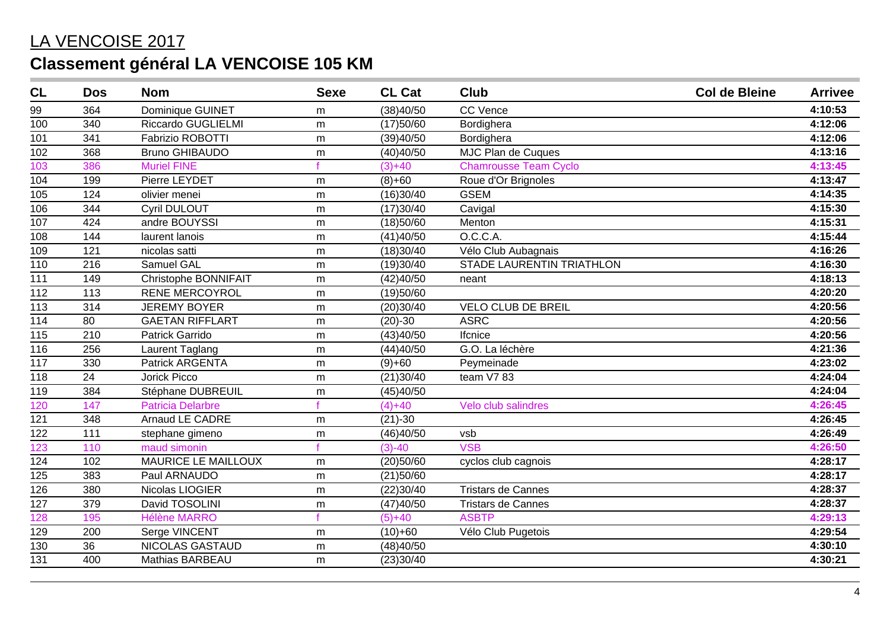| CL              | <b>Dos</b>      | <b>Nom</b>                 | <b>Sexe</b> | <b>CL Cat</b> | <b>Club</b>                  | <b>Col de Bleine</b> | <b>Arrivee</b> |
|-----------------|-----------------|----------------------------|-------------|---------------|------------------------------|----------------------|----------------|
| 99              | 364             | Dominique GUINET           | m           | (38)40/50     | <b>CC Vence</b>              |                      | 4:10:53        |
| 100             | 340             | <b>Riccardo GUGLIELMI</b>  | m           | (17)50/60     | Bordighera                   |                      | 4:12:06        |
| 101             | 341             | Fabrizio ROBOTTI           | m           | (39)40/50     | Bordighera                   |                      | 4:12:06        |
| 102             | 368             | <b>Bruno GHIBAUDO</b>      | m           | (40)40/50     | MJC Plan de Cuques           |                      | 4:13:16        |
| 103             | 386             | <b>Muriel FINE</b>         |             | $(3)+40$      | <b>Chamrousse Team Cyclo</b> |                      | 4:13:45        |
| 104             | 199             | Pierre LEYDET              | m           | $(8)+60$      | Roue d'Or Brignoles          |                      | 4:13:47        |
| 105             | 124             | olivier menei              | m           | (16)30/40     | <b>GSEM</b>                  |                      | 4:14:35        |
| 106             | 344             | Cyril DULOUT               | ${\sf m}$   | (17)30/40     | Cavigal                      |                      | 4:15:30        |
| 107             | 424             | andre BOUYSSI              | m           | (18)50/60     | Menton                       |                      | 4:15:31        |
| 108             | 144             | laurent lanois             | m           | (41)40/50     | O.C.C.A.                     |                      | 4:15:44        |
| 109             | 121             | nicolas satti              | m           | (18)30/40     | Vélo Club Aubagnais          |                      | 4:16:26        |
| 110             | 216             | Samuel GAL                 | ${\sf m}$   | (19)30/40     | STADE LAURENTIN TRIATHLON    |                      | 4:16:30        |
| 111             | 149             | Christophe BONNIFAIT       | m           | (42)40/50     | neant                        |                      | 4:18:13        |
| $\frac{1}{112}$ | 113             | <b>RENE MERCOYROL</b>      | m           | (19)50/60     |                              |                      | 4:20:20        |
| 113             | 314             | <b>JEREMY BOYER</b>        | m           | (20)30/40     | <b>VELO CLUB DE BREIL</b>    |                      | 4:20:56        |
| 114             | 80              | <b>GAETAN RIFFLART</b>     | m           | $(20)-30$     | <b>ASRC</b>                  |                      | 4:20:56        |
| 115             | 210             | Patrick Garrido            | m           | (43)40/50     | Ifcnice                      |                      | 4:20:56        |
| 116             | 256             | Laurent Taglang            | m           | (44)40/50     | G.O. La léchère              |                      | 4:21:36        |
| 117             | 330             | Patrick ARGENTA            | m           | $(9)+60$      | Peymeinade                   |                      | 4:23:02        |
| 118             | $\overline{24}$ | <b>Jorick Picco</b>        | m           | (21)30/40     | team V7 83                   |                      | 4:24:04        |
| 119             | 384             | Stéphane DUBREUIL          | m           | (45)40/50     |                              |                      | 4:24:04        |
| 120             | 147             | <b>Patricia Delarbre</b>   |             | $(4)+40$      | Velo club salindres          |                      | 4:26:45        |
| 121             | 348             | Arnaud LE CADRE            | m           | $(21)-30$     |                              |                      | 4:26:45        |
| 122             | 111             | stephane gimeno            | m           | (46)40/50     | vsb                          |                      | 4:26:49        |
| 123             | 110             | maud simonin               |             | $(3)-40$      | <b>VSB</b>                   |                      | 4:26:50        |
| 124             | 102             | <b>MAURICE LE MAILLOUX</b> | m           | (20)50/60     | cyclos club cagnois          |                      | 4:28:17        |
| 125             | 383             | Paul ARNAUDO               | m           | (21)50/60     |                              |                      | 4:28:17        |
| 126             | 380             | Nicolas LIOGIER            | m           | (22)30/40     | <b>Tristars de Cannes</b>    |                      | 4:28:37        |
| 127             | 379             | David TOSOLINI             | ${\sf m}$   | (47)40/50     | <b>Tristars de Cannes</b>    |                      | 4:28:37        |
| 128             | 195             | <b>Hélène MARRO</b>        |             | $(5)+40$      | <b>ASBTP</b>                 |                      | 4:29:13        |
| 129             | 200             | Serge VINCENT              | m           | $(10)+60$     | Vélo Club Pugetois           |                      | 4:29:54        |
| 130             | 36              | NICOLAS GASTAUD            | m           | (48)40/50     |                              |                      | 4:30:10        |
| 131             | 400             | Mathias BARBEAU            | m           | (23)30/40     |                              |                      | 4:30:21        |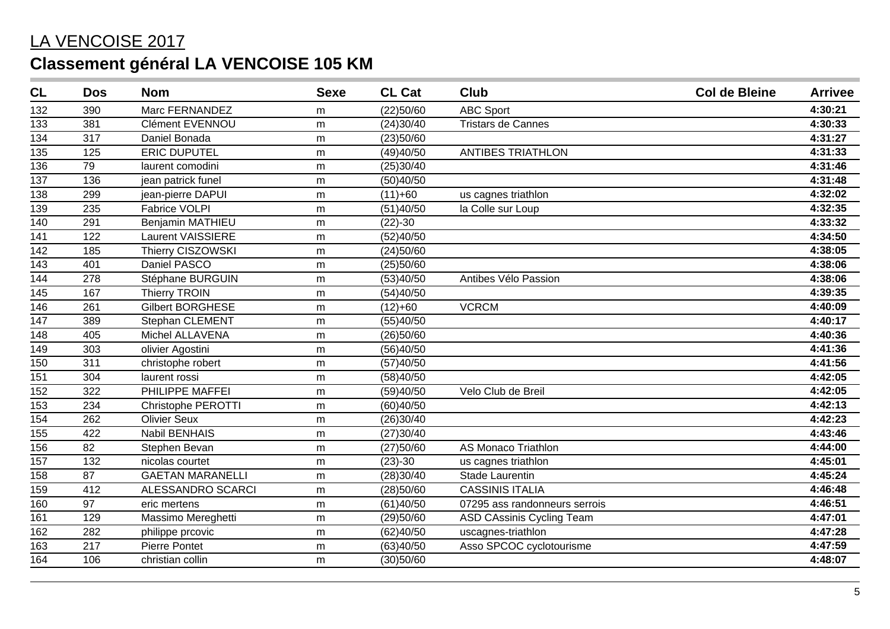| CL               | <b>Dos</b> | <b>Nom</b>                | <b>Sexe</b> | <b>CL Cat</b> | <b>Club</b>                      | <b>Col de Bleine</b> | <b>Arrivee</b> |
|------------------|------------|---------------------------|-------------|---------------|----------------------------------|----------------------|----------------|
| 132              | 390        | Marc FERNANDEZ            | m           | (22)50/60     | <b>ABC Sport</b>                 |                      | 4:30:21        |
| 133              | 381        | Clément EVENNOU           | m           | (24)30/40     | <b>Tristars de Cannes</b>        |                      | 4:30:33        |
| 134              | 317        | Daniel Bonada             | m           | (23)50/60     |                                  |                      | 4:31:27        |
| 135              | 125        | <b>ERIC DUPUTEL</b>       | m           | (49)40/50     | <b>ANTIBES TRIATHLON</b>         |                      | 4:31:33        |
| 136              | 79         | laurent comodini          | m           | (25)30/40     |                                  |                      | 4:31:46        |
| $\overline{137}$ | 136        | jean patrick funel        | m           | (50)40/50     |                                  |                      | 4:31:48        |
| 138              | 299        | jean-pierre DAPUI         | m           | $(11)+60$     | us cagnes triathlon              |                      | 4:32:02        |
| 139              | 235        | <b>Fabrice VOLPI</b>      | ${\sf m}$   | (51)40/50     | la Colle sur Loup                |                      | 4:32:35        |
| 140              | 291        | Benjamin MATHIEU          | m           | $(22)-30$     |                                  |                      | 4:33:32        |
| 141              | 122        | Laurent VAISSIERE         | m           | (52)40/50     |                                  |                      | 4:34:50        |
| 142              | 185        | Thierry CISZOWSKI         | m           | (24)50/60     |                                  |                      | 4:38:05        |
| 143              | 401        | Daniel PASCO              | m           | (25)50/60     |                                  |                      | 4:38:06        |
| 144              | 278        | Stéphane BURGUIN          | m           | (53)40/50     | Antibes Vélo Passion             |                      | 4:38:06        |
| 145              | 167        | <b>Thierry TROIN</b>      | m           | (54)40/50     |                                  |                      | 4:39:35        |
| 146              | 261        | <b>Gilbert BORGHESE</b>   | m           | $(12)+60$     | <b>VCRCM</b>                     |                      | 4:40:09        |
| 147              | 389        | Stephan CLEMENT           | m           | (55)40/50     |                                  |                      | 4:40:17        |
| 148              | 405        | Michel ALLAVENA           | m           | (26)50/60     |                                  |                      | 4:40:36        |
| 149              | 303        | olivier Agostini          | m           | (56)40/50     |                                  |                      | 4:41:36        |
| 150              | 311        | christophe robert         | m           | (57)40/50     |                                  |                      | 4:41:56        |
| 151              | 304        | laurent rossi             | ${\sf m}$   | (58)40/50     |                                  |                      | 4:42:05        |
| 152              | 322        | PHILIPPE MAFFEI           | m           | (59)40/50     | Velo Club de Breil               |                      | 4:42:05        |
| 153              | 234        | <b>Christophe PEROTTI</b> | m           | (60)40/50     |                                  |                      | 4:42:13        |
| $\frac{1}{154}$  | 262        | <b>Olivier Seux</b>       | m           | (26)30/40     |                                  |                      | 4:42:23        |
| 155              | 422        | <b>Nabil BENHAIS</b>      | m           | (27)30/40     |                                  |                      | 4:43:46        |
| 156              | 82         | Stephen Bevan             | m           | (27)50/60     | <b>AS Monaco Triathlon</b>       |                      | 4:44:00        |
| 157              | 132        | nicolas courtet           | m           | $(23)-30$     | us cagnes triathlon              |                      | 4:45:01        |
| 158              | 87         | <b>GAETAN MARANELLI</b>   | m           | (28)30/40     | Stade Laurentin                  |                      | 4:45:24        |
| $\overline{159}$ | 412        | ALESSANDRO SCARCI         | m           | (28)50/60     | <b>CASSINIS ITALIA</b>           |                      | 4:46:48        |
| 160              | 97         | eric mertens              | m           | (61)40/50     | 07295 ass randonneurs serrois    |                      | 4:46:51        |
| 161              | 129        | Massimo Mereghetti        | m           | (29)50/60     | <b>ASD CAssinis Cycling Team</b> |                      | 4:47:01        |
| 162              | 282        | philippe prcovic          | m           | (62)40/50     | uscagnes-triathlon               |                      | 4:47:28        |
| 163              | 217        | Pierre Pontet             | ${\sf m}$   | (63)40/50     | Asso SPCOC cyclotourisme         |                      | 4:47:59        |
| 164              | 106        | christian collin          | ${\sf m}$   | (30)50/60     |                                  |                      | 4:48:07        |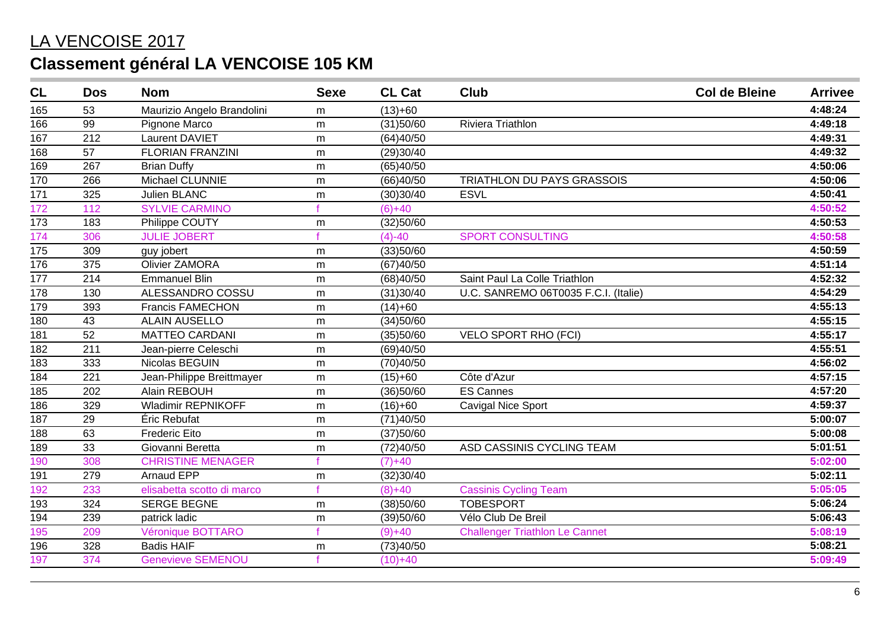| CL               | <b>Dos</b>       | <b>Nom</b>                 | <b>Sexe</b> | <b>CL Cat</b> | <b>Club</b>                           | <b>Col de Bleine</b> | <b>Arrivee</b> |
|------------------|------------------|----------------------------|-------------|---------------|---------------------------------------|----------------------|----------------|
| 165              | 53               | Maurizio Angelo Brandolini | m           | $(13)+60$     |                                       |                      | 4:48:24        |
| 166              | 99               | Pignone Marco              | m           | (31)50/60     | Riviera Triathlon                     |                      | 4:49:18        |
| 167              | 212              | Laurent DAVIET             | m           | (64)40/50     |                                       |                      | 4:49:31        |
| 168              | 57               | <b>FLORIAN FRANZINI</b>    | m           | (29)30/40     |                                       |                      | 4:49:32        |
| 169              | 267              | <b>Brian Duffy</b>         | m           | (65)40/50     |                                       |                      | 4:50:06        |
| 170              | 266              | Michael CLUNNIE            | m           | (66)40/50     | TRIATHLON DU PAYS GRASSOIS            |                      | 4:50:06        |
| 171              | 325              | Julien BLANC               | m           | (30)30/40     | <b>ESVL</b>                           |                      | 4:50:41        |
| 172              | 112              | <b>SYLVIE CARMINO</b>      |             | $(6)+40$      |                                       |                      | 4:50:52        |
| 173              | 183              | Philippe COUTY             | m           | (32)50/60     |                                       |                      | 4:50:53        |
| 174              | 306              | <b>JULIE JOBERT</b>        |             | $(4)-40$      | <b>SPORT CONSULTING</b>               |                      | 4:50:58        |
| 175              | 309              | guy jobert                 | m           | (33)50/60     |                                       |                      | 4:50:59        |
| 176              | 375              | <b>Olivier ZAMORA</b>      | m           | (67)40/50     |                                       |                      | 4:51:14        |
| $\overline{177}$ | 214              | <b>Emmanuel Blin</b>       | ${\sf m}$   | (68)40/50     | Saint Paul La Colle Triathlon         |                      | 4:52:32        |
| 178              | 130              | ALESSANDRO COSSU           | m           | (31)30/40     | U.C. SANREMO 06T0035 F.C.I. (Italie)  |                      | 4:54:29        |
| 179              | 393              | <b>Francis FAMECHON</b>    | m           | $(14)+60$     |                                       |                      | 4:55:13        |
| 180              | 43               | <b>ALAIN AUSELLO</b>       | m           | (34)50/60     |                                       |                      | 4:55:15        |
| 181              | 52               | <b>MATTEO CARDANI</b>      | m           | (35)50/60     | <b>VELO SPORT RHO (FCI)</b>           |                      | 4:55:17        |
| 182              | 211              | Jean-pierre Celeschi       | m           | (69)40/50     |                                       |                      | 4:55:51        |
| 183              | 333              | Nicolas BEGUIN             | ${\sf m}$   | (70)40/50     |                                       |                      | 4:56:02        |
| 184              | $\overline{221}$ | Jean-Philippe Breittmayer  | ${\sf m}$   | $(15)+60$     | Côte d'Azur                           |                      | 4:57:15        |
| 185              | 202              | Alain REBOUH               | m           | (36)50/60     | <b>ES Cannes</b>                      |                      | 4:57:20        |
| 186              | 329              | <b>Wladimir REPNIKOFF</b>  | m           | $(16)+60$     | <b>Cavigal Nice Sport</b>             |                      | 4:59:37        |
| 187              | 29               | Éric Rebufat               | m           | (71)40/50     |                                       |                      | 5:00:07        |
| 188              | 63               | <b>Frederic Eito</b>       | m           | (37)50/60     |                                       |                      | 5:00:08        |
| 189              | 33               | Giovanni Beretta           | m           | (72)40/50     | ASD CASSINIS CYCLING TEAM             |                      | 5:01:51        |
| 190              | 308              | <b>CHRISTINE MENAGER</b>   |             | $(7)+40$      |                                       |                      | 5:02:00        |
| 191              | 279              | <b>Arnaud EPP</b>          | m           | (32)30/40     |                                       |                      | 5:02:11        |
| 192              | 233              | elisabetta scotto di marco |             | $(8)+40$      | <b>Cassinis Cycling Team</b>          |                      | 5:05:05        |
| 193              | 324              | <b>SERGE BEGNE</b>         | m           | (38)50/60     | <b>TOBESPORT</b>                      |                      | 5:06:24        |
| 194              | 239              | patrick ladic              | ${\sf m}$   | (39)50/60     | Vélo Club De Breil                    |                      | 5:06:43        |
| 195              | 209              | Véronique BOTTARO          |             | $(9) + 40$    | <b>Challenger Triathlon Le Cannet</b> |                      | 5:08:19        |
| 196              | 328              | <b>Badis HAIF</b>          | m           | (73)40/50     |                                       |                      | 5:08:21        |
| 197              | 374              | <b>Genevieve SEMENOU</b>   |             | $(10)+40$     |                                       |                      | 5:09:49        |